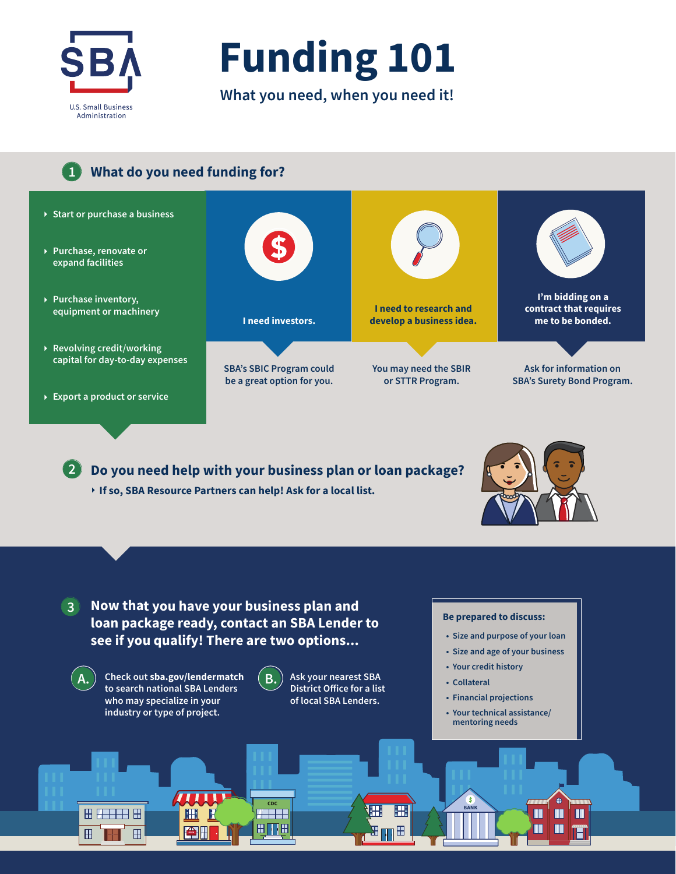

**Funding 101**

**What you need, when you need it!**

### **1 What do you need funding for?**

- **Start or purchase a business**
- **Purchase, renovate or expand facilities**
- **Purchase inventory, equipment or machinery**
- **Revolving credit/working capital for day-to-day expenses**
- **Export a product or service**



**SBA's SBIC Program could be a great option for you.**



**You may need the SBIR or STTR Program.**

**I'm bidding on a contract that requires me to be bonded.** 

**Ask for information on SBA's Surety Bond Program.**

**2 Do you need help with your business plan or loan package? If so, SBA Resource Partners can help! Ask for a local list.**



#### **3 Now that you have your business plan and loan package ready, contact an SBA Lender to see if you qualify! There are two options...**



Ħ ▔⊞

 $\mathbf{H}$ 

 $\mathsf{A}$ .  $\Big)$  Check out sba.gov/lendermatch  $\Big( \mathsf{B} \Big)$ . **to search national SBA Lenders who may specialize in your industry or type of project.**

**APE** 

 $\mathbf{H}$ 



8 M B

**Ask your nearest SBA District Office for a list of local SBA Lenders.** 

**CDC BANK** 

 $\mathbb B$ 

#### **Be prepared to discuss:**

- **• Size and purpose of your loan**
- **• Size and age of your business**
- **• Your credit history**
- **• Collateral**

'\$

- **• Financial projections**
- **Your technical assistance/ mentoring needs**

 $\blacksquare$  $\blacksquare$  $\blacksquare$ 

 $\blacksquare$ П